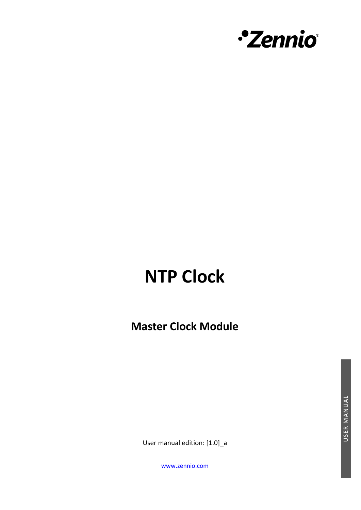

# **NTP Clock**

**Master Clock Module**

User manual edition: [1.0]\_a

[www.zennio.com](https://www.zennio.com/)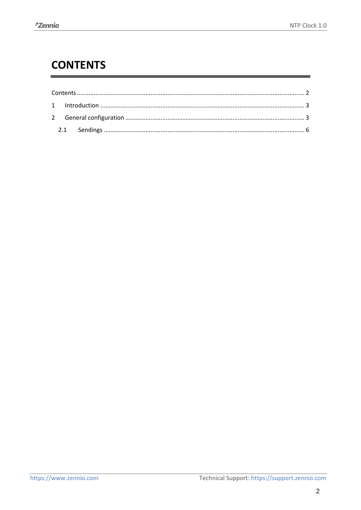# <span id="page-1-0"></span>**CONTENTS**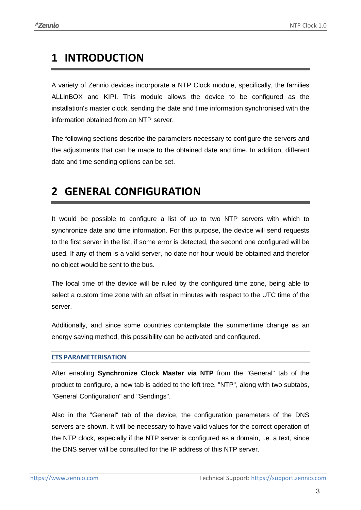## <span id="page-2-0"></span>**1 INTRODUCTION**

A variety of Zennio devices incorporate a NTP Clock module, specifically, the families ALLinBOX and KIPI. This module allows the device to be configured as the installation's master clock, sending the date and time information synchronised with the information obtained from an NTP server.

The following sections describe the parameters necessary to configure the servers and the adjustments that can be made to the obtained date and time. In addition, different date and time sending options can be set.

## <span id="page-2-1"></span>**2 GENERAL CONFIGURATION**

It would be possible to configure a list of up to two NTP servers with which to synchronize date and time information. For this purpose, the device will send requests to the first server in the list, if some error is detected, the second one configured will be used. If any of them is a valid server, no date nor hour would be obtained and therefor no object would be sent to the bus.

The local time of the device will be ruled by the configured time zone, being able to select a custom time zone with an offset in minutes with respect to the UTC time of the server.

Additionally, and since some countries contemplate the summertime change as an energy saving method, this possibility can be activated and configured.

#### **ETS PARAMETERISATION**

After enabling **Synchronize Clock Master via NTP** from the "General" tab of the product to configure, a new tab is added to the left tree, "NTP", along with two subtabs, "General Configuration" and "Sendings".

Also in the "General" tab of the device, the configuration parameters of the DNS servers are shown. It will be necessary to have valid values for the correct operation of the NTP clock, especially if the NTP server is configured as a domain, i.e. a text, since the DNS server will be consulted for the IP address of this NTP server.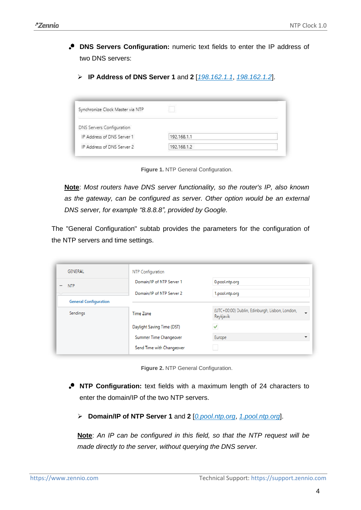- **DNS Servers Configuration:** numeric text fields to enter the IP address of two DNS servers:
	- ➢ **IP Address of DNS Server 1** and **2** [*198.162.1.1*, *198.162.1.2*].

| Synchronize Clock Master via NTP |                |  |
|----------------------------------|----------------|--|
| DNS Servers Configuration        |                |  |
| IP Address of DNS Server 1       | 192, 168, 1, 1 |  |
|                                  |                |  |

**Figure 1.** NTP General Configuration.

**Note**: *Most routers have DNS server functionality, so the router's IP, also known as the gateway, can be configured as server. Other option would be an external DNS server, for example "8.8.8.8", provided by Google.*

The "General Configuration" subtab provides the parameters for the configuration of the NTP servers and time settings.

| GENERAL                                | NTP Configuration          |                                                                             |
|----------------------------------------|----------------------------|-----------------------------------------------------------------------------|
| <b>NTP</b><br>$\overline{\phantom{a}}$ | Domain/IP of NTP Server 1  | 0.pool.ntp.org                                                              |
|                                        | Domain/IP of NTP Server 2  | 1.pool.ntp.org                                                              |
| <b>General Configuration</b>           |                            |                                                                             |
| Sendings                               | Time Zone                  | (UTC+00:00) Dublin, Edinburgh, Lisbon, London,<br>$\mathbf{v}$<br>Reykjavik |
|                                        | Daylight Saving Time (DST) | ✓                                                                           |
|                                        | Summer Time Changeover     | Europe<br>▼                                                                 |
|                                        | Send Time with Changeover  |                                                                             |

**Figure 2.** NTP General Configuration.

- **NTP Configuration:** text fields with a maximum length of 24 characters to enter the domain/IP of the two NTP servers.
	- ➢ **Domain/IP of NTP Server 1** and **2** [*0.pool.ntp.org*, *1.pool.ntp.org*].

**Note**: *An IP can be configured in this field, so that the NTP request will be made directly to the server, without querying the DNS server.*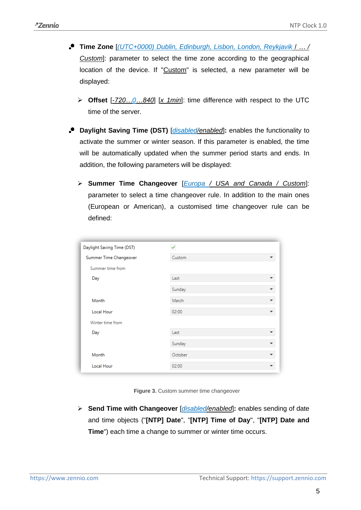- **Time Zone** [*(UTC+0000) Dublin, Edinburgh, Lisbon, London, Reykjavik* / *… / Custom*]: parameter to select the time zone according to the geographical location of the device. If "Custom" is selected, a new parameter will be displayed:
	- ➢ **Offset** [*-720…0…840*] [*x 1min*]: time difference with respect to the UTC time of the server.
- **Daylight Saving Time (DST)** [*disabled/enabled*]**:** enables the functionality to activate the summer or winter season. If this parameter is enabled, the time will be automatically updated when the summer period starts and ends. In addition, the following parameters will be displayed:
	- ➢ **Summer Time Changeover** [*Europa / USA and Canada / Custom*]: parameter to select a time changeover rule. In addition to the main ones (European or American), a customised time changeover rule can be defined:

| Daylight Saving Time (DST) |         |  |
|----------------------------|---------|--|
| Summer Time Changeover     | Custom  |  |
| Summer time from           |         |  |
| Day                        | Last    |  |
|                            | Sunday  |  |
| Month                      | March   |  |
| Local Hour                 | 02:00   |  |
| Winter time from           |         |  |
| Day                        | Last    |  |
|                            | Sunday  |  |
| Month                      | October |  |
| <b>Local Hour</b>          | 02:00   |  |

**Figure 3. Custom summer time changeover** 

➢ **Send Time with Changeover** [*disabled/enabled*]**:** enables sending of date and time objects ("**[NTP] Date**", "**[NTP] Time of Day**", "**[NTP] Date and Time**") each time a change to summer or winter time occurs.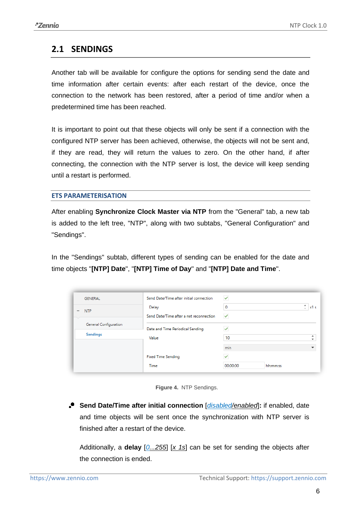### <span id="page-5-0"></span>**2.1 SENDINGS**

Another tab will be available for configure the options for sending send the date and time information after certain events: after each restart of the device, once the connection to the network has been restored, after a period of time and/or when a predetermined time has been reached.

It is important to point out that these objects will only be sent if a connection with the configured NTP server has been achieved, otherwise, the objects will not be sent and, if they are read, they will return the values to zero. On the other hand, if after connecting, the connection with the NTP server is lost, the device will keep sending until a restart is performed.

#### **ETS PARAMETERISATION**

After enabling **Synchronize Clock Master via NTP** from the "General" tab, a new tab is added to the left tree, "NTP", along with two subtabs, "General Configuration" and "Sendings".

In the "Sendings" subtab, different types of sending can be enabled for the date and time objects "**[NTP] Date**", "**[NTP] Time of Day**" and "**[NTP] Date and Time**".

| <b>GENERAL</b>                             | Send Date/Time after initial connection | $\checkmark$ |          |                          |
|--------------------------------------------|-----------------------------------------|--------------|----------|--------------------------|
| <b>NTP</b><br>$\qquad \qquad \blacksquare$ | Delay                                   | 0            |          | ዹ<br>x1s<br>$\sim$       |
|                                            | Send Date/Time after a net reconnection | $\checkmark$ |          |                          |
| General Configuration                      | Date and Time Periodical Sending        |              |          |                          |
| <b>Sendings</b>                            | Value                                   | 10           |          | $\overline{\phantom{a}}$ |
|                                            |                                         | min          |          |                          |
|                                            | <b>Fixed Time Sending</b>               |              |          |                          |
|                                            | <b>Time</b>                             | 00:00:00     | hh:mm:ss |                          |

**Figure 4.** NTP Sendings.

**Send Date/Time after initial connection** [*disabled/enabled*]**:** if enabled, date and time objects will be sent once the synchronization with NTP server is finished after a restart of the device.

Additionally, a **delay** [*0...255*] [*x 1s*] can be set for sending the objects after the connection is ended.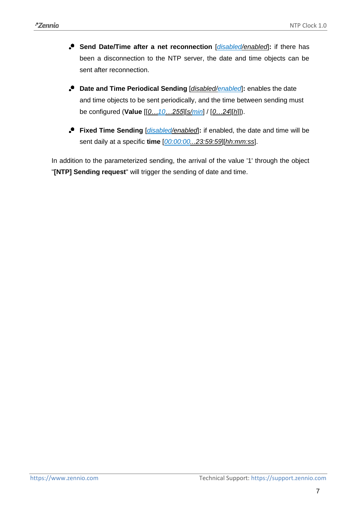- **Send Date/Time after a net reconnection** [*disabled/enabled*]: if there has been a disconnection to the NTP server, the date and time objects can be sent after reconnection.
- **Date and Time Periodical Sending** [*disabled/enabled*]**:** enables the date and time objects to be sent periodically, and the time between sending must be configured (**Value** [[*0…10…255*][*s/min*] / [*0…24*][*h*]]).
- **Fixed Time Sending** [*disabled/enabled*]**:** if enabled, the date and time will be sent daily at a specific **time** [*00:00:00...23:59:59*][*hh:mm:ss*].

In addition to the parameterized sending, the arrival of the value '1' through the object "**[NTP] Sending request**" will trigger the sending of date and time.